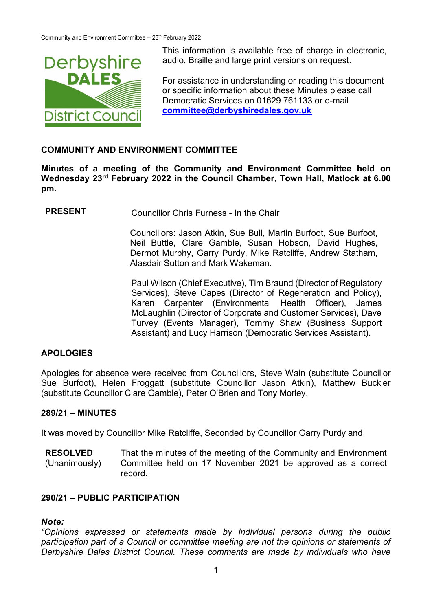

This information is available free of charge in electronic,<br>
Derbyshire audio, Braille and large print versions on request. audio, Braille and large print versions on request.

> For assistance in understanding or reading this document or specific information about these Minutes please call Democratic Services on 01629 761133 or e-mail **[committee@derbyshiredales.gov.uk](mailto:committee@derbyshiredales.gov.uk)**

#### **COMMUNITY AND ENVIRONMENT COMMITTEE**

**Minutes of a meeting of the Community and Environment Committee held on Wednesday 23rd February 2022 in the Council Chamber, Town Hall, Matlock at 6.00 pm.**

**PRESENT** Councillor Chris Furness - In the Chair

Councillors: Jason Atkin, Sue Bull, Martin Burfoot, Sue Burfoot, Neil Buttle, Clare Gamble, Susan Hobson, David Hughes, Dermot Murphy, Garry Purdy, Mike Ratcliffe, Andrew Statham, Alasdair Sutton and Mark Wakeman.

Paul Wilson (Chief Executive), Tim Braund (Director of Regulatory Services), Steve Capes (Director of Regeneration and Policy), Karen Carpenter (Environmental Health Officer), James McLaughlin (Director of Corporate and Customer Services), Dave Turvey (Events Manager), Tommy Shaw (Business Support Assistant) and Lucy Harrison (Democratic Services Assistant).

### **APOLOGIES**

Apologies for absence were received from Councillors, Steve Wain (substitute Councillor Sue Burfoot), Helen Froggatt (substitute Councillor Jason Atkin), Matthew Buckler (substitute Councillor Clare Gamble), Peter O'Brien and Tony Morley.

#### **289/21 – MINUTES**

It was moved by Councillor Mike Ratcliffe, Seconded by Councillor Garry Purdy and

**RESOLVED** (Unanimously) That the minutes of the meeting of the Community and Environment Committee held on 17 November 2021 be approved as a correct record.

### **290/21 – PUBLIC PARTICIPATION**

### *Note:*

*"Opinions expressed or statements made by individual persons during the public participation part of a Council or committee meeting are not the opinions or statements of Derbyshire Dales District Council. These comments are made by individuals who have*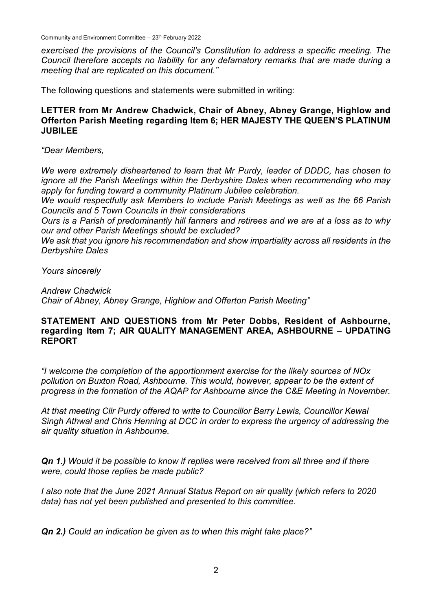Community and Environment Committee - 23th February 2022

*exercised the provisions of the Council's Constitution to address a specific meeting. The Council therefore accepts no liability for any defamatory remarks that are made during a meeting that are replicated on this document."*

The following questions and statements were submitted in writing:

### **LETTER from Mr Andrew Chadwick, Chair of Abney, Abney Grange, Highlow and Offerton Parish Meeting regarding Item 6; HER MAJESTY THE QUEEN'S PLATINUM JUBILEE**

*"Dear Members,*

*We were extremely disheartened to learn that Mr Purdy, leader of DDDC, has chosen to ignore all the Parish Meetings within the Derbyshire Dales when recommending who may apply for funding toward a community Platinum Jubilee celebration.*

*We would respectfully ask Members to include Parish Meetings as well as the 66 Parish Councils and 5 Town Councils in their considerations*

*Ours is a Parish of predominantly hill farmers and retirees and we are at a loss as to why our and other Parish Meetings should be excluded?*

*We ask that you ignore his recommendation and show impartiality across all residents in the Derbyshire Dales*

*Yours sincerely*

*Andrew Chadwick*

*Chair of Abney, Abney Grange, Highlow and Offerton Parish Meeting"*

### **STATEMENT AND QUESTIONS from Mr Peter Dobbs, Resident of Ashbourne, regarding Item 7; AIR QUALITY MANAGEMENT AREA, ASHBOURNE – UPDATING REPORT**

*"I welcome the completion of the apportionment exercise for the likely sources of NOx pollution on Buxton Road, Ashbourne. This would, however, appear to be the extent of progress in the formation of the AQAP for Ashbourne since the C&E Meeting in November.* 

*At that meeting Cllr Purdy offered to write to Councillor Barry Lewis, Councillor Kewal Singh Athwal and Chris Henning at DCC in order to express the urgency of addressing the air quality situation in Ashbourne.* 

*Qn 1.) Would it be possible to know if replies were received from all three and if there were, could those replies be made public?*

*I also note that the June 2021 Annual Status Report on air quality (which refers to 2020 data) has not yet been published and presented to this committee.* 

*Qn 2.) Could an indication be given as to when this might take place?"*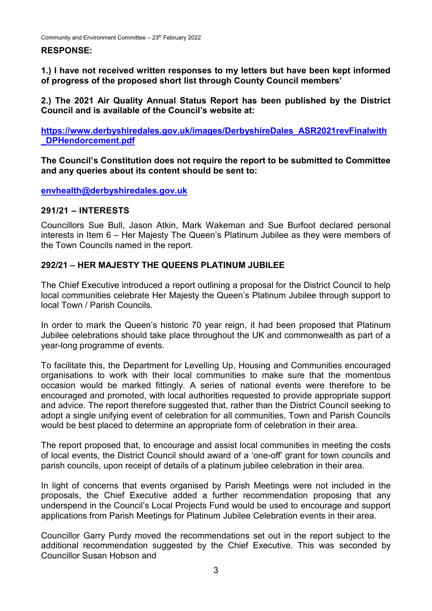### **RESPONSE:**

**1.) I have not received written responses to my letters but have been kept informed of progress of the proposed short list through County Council members'**

**2.) The 2021 Air Quality Annual Status Report has been published by the District Council and is available of the Council's website at:**

**[https://www.derbyshiredales.gov.uk/images/DerbyshireDales\\_ASR2021revFinalwith](https://www.derbyshiredales.gov.uk/images/DerbyshireDales_ASR2021revFinalwith_DPHendorcement.pdf) [\\_DPHendorcement.pdf](https://www.derbyshiredales.gov.uk/images/DerbyshireDales_ASR2021revFinalwith_DPHendorcement.pdf)**

**The Council's Constitution does not require the report to be submitted to Committee and any queries about its content should be sent to:**

**[envhealth@derbyshiredales.gov.uk](mailto:envhealth@derbyshiredales.gov.uk)**

#### **291/21 – INTERESTS**

Councillors Sue Bull, Jason Atkin, Mark Wakeman and Sue Burfoot declared personal interests in Item 6 – Her Majesty The Queen's Platinum Jubilee as they were members of the Town Councils named in the report.

### **292/21 – HER MAJESTY THE QUEENS PLATINUM JUBILEE**

The Chief Executive introduced a report outlining a proposal for the District Council to help local communities celebrate Her Majesty the Queen's Platinum Jubilee through support to local Town / Parish Councils.

In order to mark the Queen's historic 70 year reign, it had been proposed that Platinum Jubilee celebrations should take place throughout the UK and commonwealth as part of a year-long programme of events.

To facilitate this, the Department for Levelling Up, Housing and Communities encouraged organisations to work with their local communities to make sure that the momentous occasion would be marked fittingly. A series of national events were therefore to be encouraged and promoted, with local authorities requested to provide appropriate support and advice. The report therefore suggested that, rather than the District Council seeking to adopt a single unifying event of celebration for all communities, Town and Parish Councils would be best placed to determine an appropriate form of celebration in their area.

The report proposed that, to encourage and assist local communities in meeting the costs of local events, the District Council should award of a 'one-off' grant for town councils and parish councils, upon receipt of details of a platinum jubilee celebration in their area.

In light of concerns that events organised by Parish Meetings were not included in the proposals, the Chief Executive added a further recommendation proposing that any underspend in the Council's Local Projects Fund would be used to encourage and support applications from Parish Meetings for Platinum Jubilee Celebration events in their area.

Councillor Garry Purdy moved the recommendations set out in the report subject to the additional recommendation suggested by the Chief Executive. This was seconded by Councillor Susan Hobson and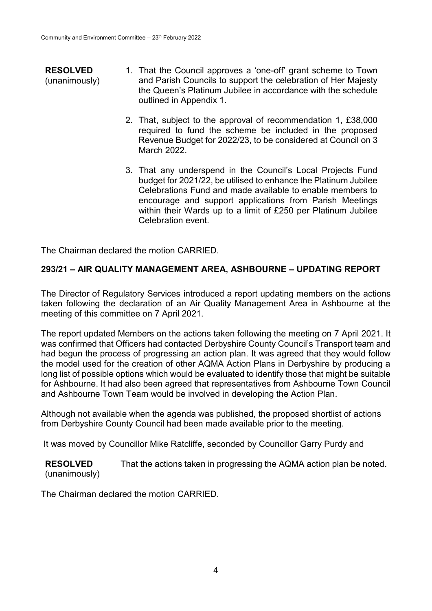- **RESOLVED** (unanimously) 1. That the Council approves a 'one-off' grant scheme to Town and Parish Councils to support the celebration of Her Majesty the Queen's Platinum Jubilee in accordance with the schedule outlined in Appendix 1.
	- 2. That, subject to the approval of recommendation 1, £38,000 required to fund the scheme be included in the proposed Revenue Budget for 2022/23, to be considered at Council on 3 March 2022.
	- 3. That any underspend in the Council's Local Projects Fund budget for 2021/22, be utilised to enhance the Platinum Jubilee Celebrations Fund and made available to enable members to encourage and support applications from Parish Meetings within their Wards up to a limit of £250 per Platinum Jubilee Celebration event.

The Chairman declared the motion CARRIED.

## **293/21 – AIR QUALITY MANAGEMENT AREA, ASHBOURNE – UPDATING REPORT**

The Director of Regulatory Services introduced a report updating members on the actions taken following the declaration of an Air Quality Management Area in Ashbourne at the meeting of this committee on 7 April 2021.

The report updated Members on the actions taken following the meeting on 7 April 2021. It was confirmed that Officers had contacted Derbyshire County Council's Transport team and had begun the process of progressing an action plan. It was agreed that they would follow the model used for the creation of other AQMA Action Plans in Derbyshire by producing a long list of possible options which would be evaluated to identify those that might be suitable for Ashbourne. It had also been agreed that representatives from Ashbourne Town Council and Ashbourne Town Team would be involved in developing the Action Plan.

Although not available when the agenda was published, the proposed shortlist of actions from Derbyshire County Council had been made available prior to the meeting.

It was moved by Councillor Mike Ratcliffe, seconded by Councillor Garry Purdy and

**RESOLVED** (unanimously) That the actions taken in progressing the AQMA action plan be noted.

The Chairman declared the motion CARRIED.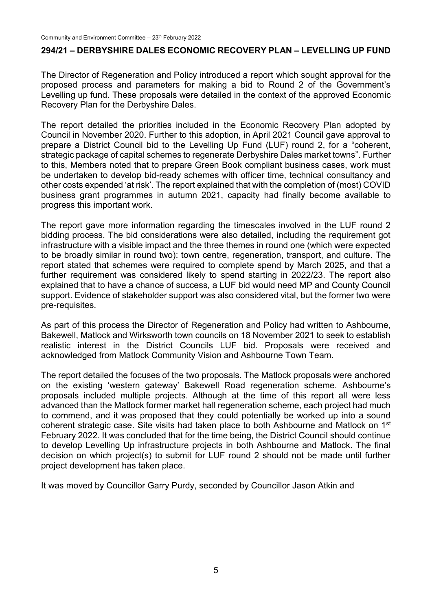#### **294/21 – DERBYSHIRE DALES ECONOMIC RECOVERY PLAN – LEVELLING UP FUND**

The Director of Regeneration and Policy introduced a report which sought approval for the proposed process and parameters for making a bid to Round 2 of the Government's Levelling up fund. These proposals were detailed in the context of the approved Economic Recovery Plan for the Derbyshire Dales.

The report detailed the priorities included in the Economic Recovery Plan adopted by Council in November 2020. Further to this adoption, in April 2021 Council gave approval to prepare a District Council bid to the Levelling Up Fund (LUF) round 2, for a "coherent, strategic package of capital schemes to regenerate Derbyshire Dales market towns". Further to this, Members noted that to prepare Green Book compliant business cases, work must be undertaken to develop bid-ready schemes with officer time, technical consultancy and other costs expended 'at risk'. The report explained that with the completion of (most) COVID business grant programmes in autumn 2021, capacity had finally become available to progress this important work.

The report gave more information regarding the timescales involved in the LUF round 2 bidding process. The bid considerations were also detailed, including the requirement got infrastructure with a visible impact and the three themes in round one (which were expected to be broadly similar in round two): town centre, regeneration, transport, and culture. The report stated that schemes were required to complete spend by March 2025, and that a further requirement was considered likely to spend starting in 2022/23. The report also explained that to have a chance of success, a LUF bid would need MP and County Council support. Evidence of stakeholder support was also considered vital, but the former two were pre-requisites.

As part of this process the Director of Regeneration and Policy had written to Ashbourne, Bakewell, Matlock and Wirksworth town councils on 18 November 2021 to seek to establish realistic interest in the District Councils LUF bid. Proposals were received and acknowledged from Matlock Community Vision and Ashbourne Town Team.

The report detailed the focuses of the two proposals. The Matlock proposals were anchored on the existing 'western gateway' Bakewell Road regeneration scheme. Ashbourne's proposals included multiple projects. Although at the time of this report all were less advanced than the Matlock former market hall regeneration scheme, each project had much to commend, and it was proposed that they could potentially be worked up into a sound coherent strategic case. Site visits had taken place to both Ashbourne and Matlock on 1<sup>st</sup> February 2022. It was concluded that for the time being, the District Council should continue to develop Levelling Up infrastructure projects in both Ashbourne and Matlock. The final decision on which project(s) to submit for LUF round 2 should not be made until further project development has taken place.

It was moved by Councillor Garry Purdy, seconded by Councillor Jason Atkin and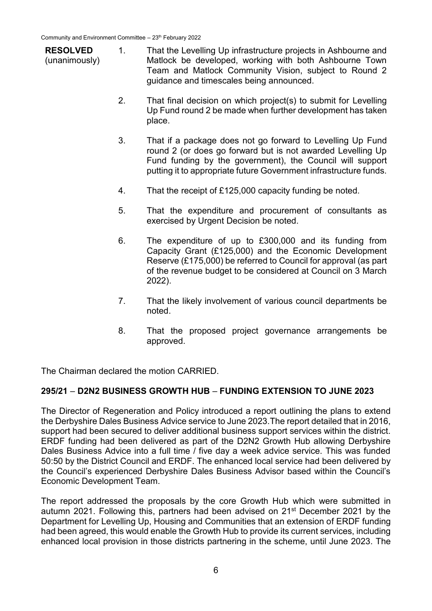- **RESOLVED** (unanimously) 1. That the Levelling Up infrastructure projects in Ashbourne and Matlock be developed, working with both Ashbourne Town Team and Matlock Community Vision, subject to Round 2 guidance and timescales being announced.
	- 2. That final decision on which project(s) to submit for Levelling Up Fund round 2 be made when further development has taken place.
	- 3. That if a package does not go forward to Levelling Up Fund round 2 (or does go forward but is not awarded Levelling Up Fund funding by the government), the Council will support putting it to appropriate future Government infrastructure funds.
	- 4. That the receipt of £125,000 capacity funding be noted.
	- 5. That the expenditure and procurement of consultants as exercised by Urgent Decision be noted.
	- 6. The expenditure of up to £300,000 and its funding from Capacity Grant (£125,000) and the Economic Development Reserve (£175,000) be referred to Council for approval (as part of the revenue budget to be considered at Council on 3 March 2022).
	- 7. That the likely involvement of various council departments be noted.
	- 8. That the proposed project governance arrangements be approved.

The Chairman declared the motion CARRIED.

### **295/21** – **D2N2 BUSINESS GROWTH HUB** – **FUNDING EXTENSION TO JUNE 2023**

The Director of Regeneration and Policy introduced a report outlining the plans to extend the Derbyshire Dales Business Advice service to June 2023.The report detailed that in 2016, support had been secured to deliver additional business support services within the district. ERDF funding had been delivered as part of the D2N2 Growth Hub allowing Derbyshire Dales Business Advice into a full time / five day a week advice service. This was funded 50:50 by the District Council and ERDF. The enhanced local service had been delivered by the Council's experienced Derbyshire Dales Business Advisor based within the Council's Economic Development Team.

The report addressed the proposals by the core Growth Hub which were submitted in autumn 2021. Following this, partners had been advised on 21st December 2021 by the Department for Levelling Up, Housing and Communities that an extension of ERDF funding had been agreed, this would enable the Growth Hub to provide its current services, including enhanced local provision in those districts partnering in the scheme, until June 2023. The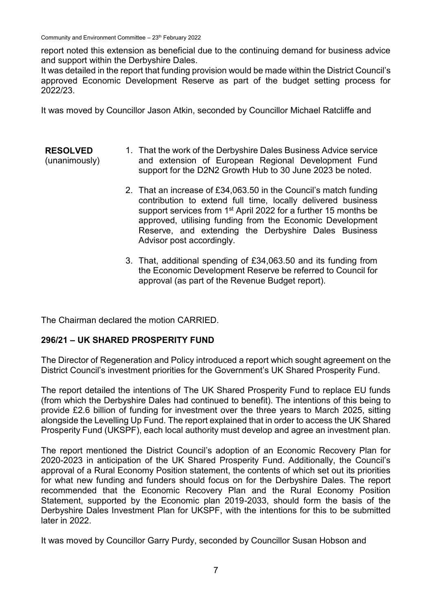Community and Environment Committee - 23th February 2022

report noted this extension as beneficial due to the continuing demand for business advice and support within the Derbyshire Dales.

It was detailed in the report that funding provision would be made within the District Council's approved Economic Development Reserve as part of the budget setting process for 2022/23.

It was moved by Councillor Jason Atkin, seconded by Councillor Michael Ratcliffe and

- **RESOLVED** (unanimously) 1. That the work of the Derbyshire Dales Business Advice service and extension of European Regional Development Fund support for the D2N2 Growth Hub to 30 June 2023 be noted.
	- 2. That an increase of £34,063.50 in the Council's match funding contribution to extend full time, locally delivered business support services from 1<sup>st</sup> April 2022 for a further 15 months be approved, utilising funding from the Economic Development Reserve, and extending the Derbyshire Dales Business Advisor post accordingly.
	- 3. That, additional spending of £34,063.50 and its funding from the Economic Development Reserve be referred to Council for approval (as part of the Revenue Budget report).

The Chairman declared the motion CARRIED.

# **296/21 – UK SHARED PROSPERITY FUND**

The Director of Regeneration and Policy introduced a report which sought agreement on the District Council's investment priorities for the Government's UK Shared Prosperity Fund.

The report detailed the intentions of The UK Shared Prosperity Fund to replace EU funds (from which the Derbyshire Dales had continued to benefit). The intentions of this being to provide £2.6 billion of funding for investment over the three years to March 2025, sitting alongside the Levelling Up Fund. The report explained that in order to access the UK Shared Prosperity Fund (UKSPF), each local authority must develop and agree an investment plan.

The report mentioned the District Council's adoption of an Economic Recovery Plan for 2020-2023 in anticipation of the UK Shared Prosperity Fund. Additionally, the Council's approval of a Rural Economy Position statement, the contents of which set out its priorities for what new funding and funders should focus on for the Derbyshire Dales. The report recommended that the Economic Recovery Plan and the Rural Economy Position Statement, supported by the Economic plan 2019-2033, should form the basis of the Derbyshire Dales Investment Plan for UKSPF, with the intentions for this to be submitted later in 2022.

It was moved by Councillor Garry Purdy, seconded by Councillor Susan Hobson and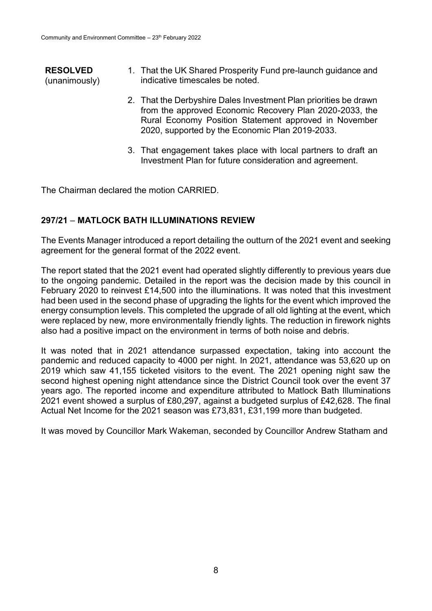- **RESOLVED** (unanimously) 1. That the UK Shared Prosperity Fund pre-launch guidance and indicative timescales be noted.
	- 2. That the Derbyshire Dales Investment Plan priorities be drawn from the approved Economic Recovery Plan 2020-2033, the Rural Economy Position Statement approved in November 2020, supported by the Economic Plan 2019-2033.
	- 3. That engagement takes place with local partners to draft an Investment Plan for future consideration and agreement.

The Chairman declared the motion CARRIED.

### **297/21** – **MATLOCK BATH ILLUMINATIONS REVIEW**

The Events Manager introduced a report detailing the outturn of the 2021 event and seeking agreement for the general format of the 2022 event.

The report stated that the 2021 event had operated slightly differently to previous years due to the ongoing pandemic. Detailed in the report was the decision made by this council in February 2020 to reinvest £14,500 into the illuminations. It was noted that this investment had been used in the second phase of upgrading the lights for the event which improved the energy consumption levels. This completed the upgrade of all old lighting at the event, which were replaced by new, more environmentally friendly lights. The reduction in firework nights also had a positive impact on the environment in terms of both noise and debris.

It was noted that in 2021 attendance surpassed expectation, taking into account the pandemic and reduced capacity to 4000 per night. In 2021, attendance was 53,620 up on 2019 which saw 41,155 ticketed visitors to the event. The 2021 opening night saw the second highest opening night attendance since the District Council took over the event 37 years ago. The reported income and expenditure attributed to Matlock Bath Illuminations 2021 event showed a surplus of £80,297, against a budgeted surplus of £42,628. The final Actual Net Income for the 2021 season was £73,831, £31,199 more than budgeted.

It was moved by Councillor Mark Wakeman, seconded by Councillor Andrew Statham and